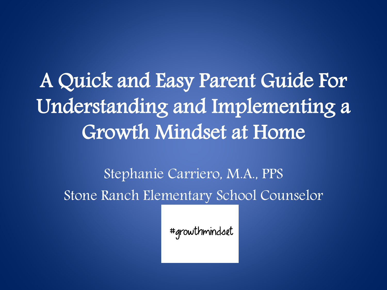A Quick and Easy Parent Guide For Understanding and Implementing a Growth Mindset at Home

Stephanie Carriero, M.A., PPS Stone Ranch Elementary School Counselor

#growthmindset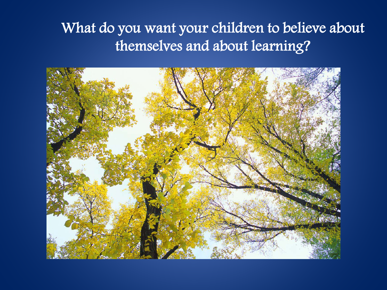#### What do you want your children to believe about themselves and about learning?

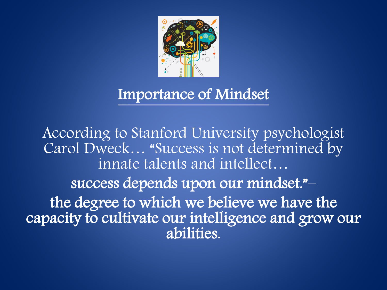

#### Importance of Mindset

According to Stanford University psychologist Carol Dweck… "Success is not determined by innate talents and intellect… success depends upon our mindset."– the degree to which we believe we have the capacity to cultivate our intelligence and grow our abilities.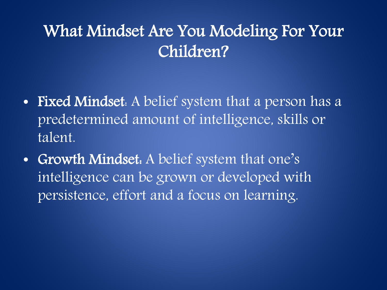## What Mindset Are You Modeling For Your Children?

- Fixed Mindset. A belief system that a person has a predetermined amount of intelligence, skills or talent.
- Growth Mindset. A belief system that one's intelligence can be grown or developed with persistence, effort and a focus on learning.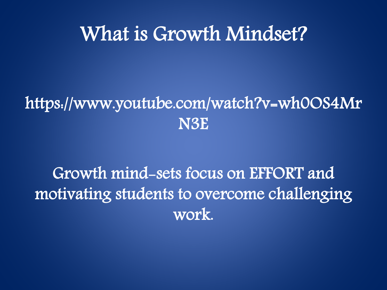## What is Growth Mindset?

### https://www.youtube.com/watch?v=wh0OS4Mr N3E

Growth mind-sets focus on EFFORT and motivating students to overcome challenging work.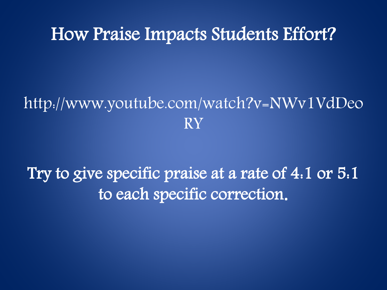#### How Praise Impacts Students Effort?

### http://www.youtube.com/watch?v=NWv1VdDeo RY

Try to give specific praise at a rate of 4:1 or 5:1 to each specific correction**.**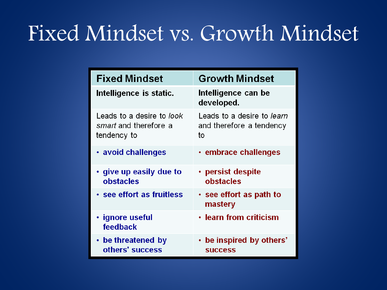# Fixed Mindset vs. Growth Mindset

| <b>Fixed Mindset</b>                                              | <b>Growth Mindset</b>                                        |
|-------------------------------------------------------------------|--------------------------------------------------------------|
| Intelligence is static.                                           | Intelligence can be<br>developed.                            |
| Leads to a desire to look<br>smart and therefore a<br>tendency to | Leads to a desire to learn<br>and therefore a tendency<br>to |
| • avoid challenges                                                | $\cdot$ embrace challenges                                   |
| $\cdot$ give up easily due to<br><b>obstacles</b>                 | $\cdot$ persist despite<br>obstacles                         |
| • see effort as fruitless                                         | • see effort as path to<br>mastery                           |
| • ignore useful<br>feedback                                       | • learn from criticism                                       |
| • be threatened by<br>others' success                             | • be inspired by others'<br><b>SUCCESS</b>                   |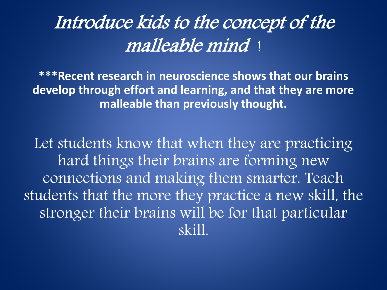# Introduce kids to the concept of the malleable mind !

**\*\*\*Recent research in neuroscience shows that our brains develop through effort and learning, and that they are more malleable than previously thought.** 

Let students know that when they are practicing hard things their brains are forming new connections and making them smarter. Teach students that the more they practice a new skill, the stronger their brains will be for that particular skill.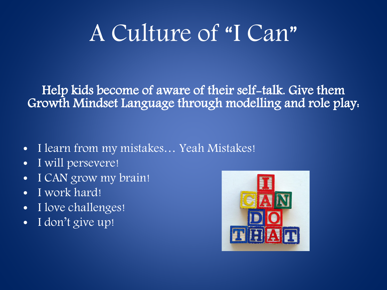# A Culture of "I Can"

Help kids become of aware of their self-talk. Give them Growth Mindset Language through modelling and role play:

- I learn from my mistakes... Yeah Mistakes!
- I will persevere!
- I CAN grow my brain!
- I work hard!
- I love challenges!
- I don't give up!

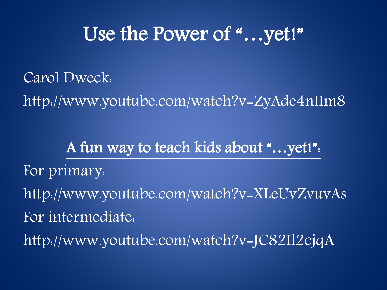# Use the Power of "...yet!"

Carol Dweck:

http://www.youtube.com/watch?v=ZyAde4nIIm8

A fun way to teach kids about "…yet!": For primary: http://www.youtube.com/watch?v=XLeUvZvuvAs For intermediate: http://www.youtube.com/watch?v=JC82Il2cjqA